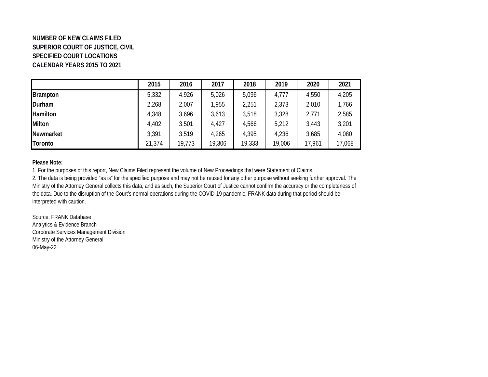## **NUMBER OF NEW CLAIMS FILED SUPERIOR COURT OF JUSTICE, CIVIL SPECIFIED COURT LOCATIONS CALENDAR YEARS 2015 TO 2021**

|               | 2015   | 2016   | 2017   | 2018   | 2019   | 2020   | 2021   |
|---------------|--------|--------|--------|--------|--------|--------|--------|
| Brampton      | 5,332  | 4,926  | 5,026  | 5,096  | 4,777  | 4,550  | 4,205  |
| Durham        | 2,268  | 2,007  | 1,955  | 2,251  | 2,373  | 2,010  | 1,766  |
| Hamilton      | 4,348  | 3,696  | 3,613  | 3,518  | 3,328  | 2,771  | 2,585  |
| <b>Milton</b> | 4,402  | 3,501  | 4,427  | 4,566  | 5,212  | 3,443  | 3,201  |
| Newmarket     | 3,391  | 3,519  | 4,265  | 4,395  | 4,236  | 3,685  | 4,080  |
| Toronto       | 21,374 | 19,773 | 19,306 | 19,333 | 19,006 | 17,961 | 17,068 |

### **Please Note:**

2. The data is being provided "as is" for the specified purpose and may not be reused for any other purpose without seeking further approval. The Ministry of the Attorney General collects this data, and as such, the Superior Court of Justice cannot confirm the accuracy or the completeness of the data. Due to the disruption of the Court's normal operations during the COVID-19 pandemic, FRANK data during that period should be interpreted with caution. 1. For the purposes of this report, New Claims Filed represent the volume of New Proceedings that were Statement of Claims.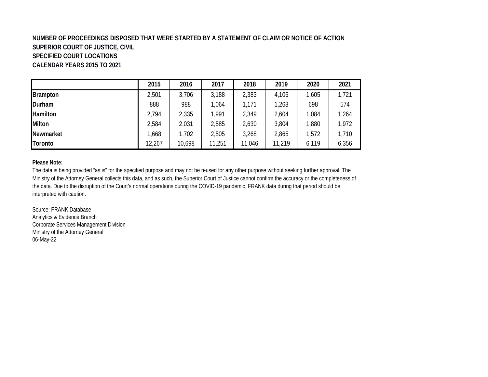### **NUMBER OF PROCEEDINGS DISPOSED THAT WERE STARTED BY A STATEMENT OF CLAIM OR NOTICE OF ACTION SUPERIOR COURT OF JUSTICE, CIVIL SPECIFIED COURT LOCATIONS CALENDAR YEARS 2015 TO 2021**

|               | 2015   | 2016   | 2017   | 2018   | 2019   | 2020  | 2021  |
|---------------|--------|--------|--------|--------|--------|-------|-------|
| Brampton      | 2,501  | 3,706  | 3,188  | 2,383  | 4,106  | ,605  | 1,721 |
| Durham        | 888    | 988    | 1,064  | 1,171  | 1,268  | 698   | 574   |
| Hamilton      | 2,794  | 2,335  | 1,991  | 2,349  | 2,604  | ,084  | 1,264 |
| <b>Milton</b> | 2,584  | 2,031  | 2,585  | 2,630  | 3,804  | ,880  | 1,972 |
| Newmarket     | .668   | 1,702  | 2,505  | 3,268  | 2,865  | 1,572 | 1,710 |
| Toronto       | 12,267 | 10,698 | 11,251 | 11,046 | 11,219 | 6,119 | 6,356 |

### **Please Note:**

The data is being provided "as is" for the specified purpose and may not be reused for any other purpose without seeking further approval. The Ministry of the Attorney General collects this data, and as such, the Superior Court of Justice cannot confirm the accuracy or the completeness of the data. Due to the disruption of the Court's normal operations during the COVID-19 pandemic, FRANK data during that period should be interpreted with caution.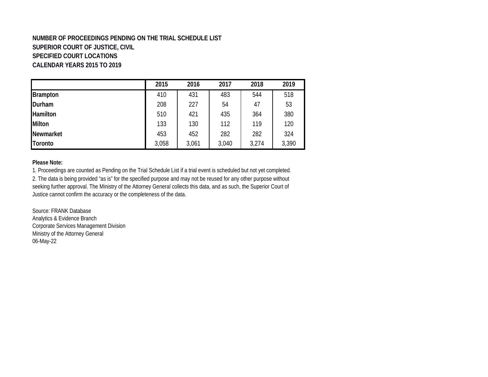## **NUMBER OF PROCEEDINGS PENDING ON THE TRIAL SCHEDULE LIST SUPERIOR COURT OF JUSTICE, CIVIL SPECIFIED COURT LOCATIONS CALENDAR YEARS 2015 TO 2019**

|                 | 2015  | 2016  | 2017  | 2018  | 2019  |
|-----------------|-------|-------|-------|-------|-------|
| <b>Brampton</b> | 410   | 431   | 483   | 544   | 518   |
| Durham          | 208   | 227   | 54    | 47    | 53    |
| <b>Hamilton</b> | 510   | 421   | 435   | 364   | 380   |
| Milton          | 133   | 130   | 112   | 119   | 120   |
| Newmarket       | 453   | 452   | 282   | 282   | 324   |
| <b>Toronto</b>  | 3,058 | 3,061 | 3,040 | 3,274 | 3,390 |

### **Please Note:**

2. The data is being provided "as is" for the specified purpose and may not be reused for any other purpose without seeking further approval. The Ministry of the Attorney General collects this data, and as such, the Superior Court of Justice cannot confirm the accuracy or the completeness of the data. 1. Proceedings are counted as Pending on the Trial Schedule List if a trial event is scheduled but not yet completed.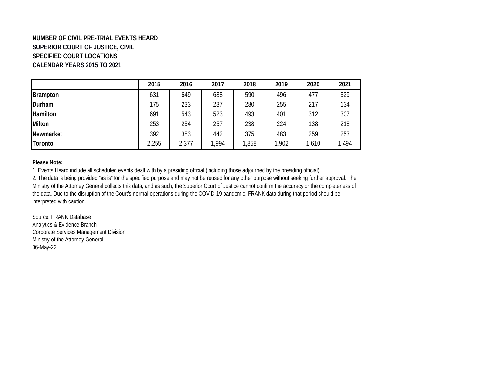# **NUMBER OF CIVIL PRE-TRIAL EVENTS HEARD SUPERIOR COURT OF JUSTICE, CIVIL SPECIFIED COURT LOCATIONS CALENDAR YEARS 2015 TO 2021**

|                 | 2015  | 2016  | 2017  | 2018  | 2019  | 2020 | 2021  |
|-----------------|-------|-------|-------|-------|-------|------|-------|
| Brampton        | 631   | 649   | 688   | 590   | 496   | 477  | 529   |
| Durham          | 175   | 233   | 237   | 280   | 255   | 217  | 134   |
| <b>Hamilton</b> | 691   | 543   | 523   | 493   | 401   | 312  | 307   |
| <b>Milton</b>   | 253   | 254   | 257   | 238   | 224   | 138  | 218   |
| Newmarket       | 392   | 383   | 442   | 375   | 483   | 259  | 253   |
| <b>Toronto</b>  | 2,255 | 2,377 | 1,994 | 1,858 | 1,902 | ,610 | 1,494 |

### **Please Note:**

2. The data is being provided "as is" for the specified purpose and may not be reused for any other purpose without seeking further approval. The Ministry of the Attorney General collects this data, and as such, the Superior Court of Justice cannot confirm the accuracy or the completeness of the data. Due to the disruption of the Court's normal operations during the COVID-19 pandemic, FRANK data during that period should be interpreted with caution. 1. Events Heard include all scheduled events dealt with by a presiding official (including those adjourned by the presiding official).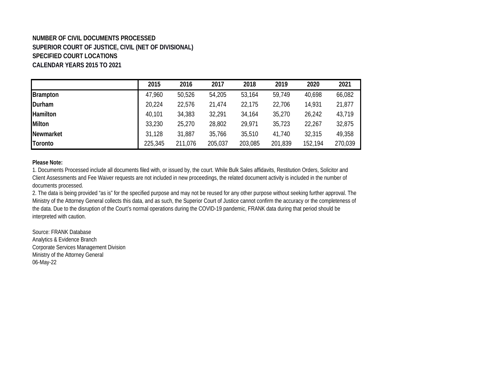# **NUMBER OF CIVIL DOCUMENTS PROCESSED SUPERIOR COURT OF JUSTICE, CIVIL (NET OF DIVISIONAL) SPECIFIED COURT LOCATIONS CALENDAR YEARS 2015 TO 2021**

|                 | 2015    | 2016    | 2017    | 2018    | 2019    | 2020    | 2021    |
|-----------------|---------|---------|---------|---------|---------|---------|---------|
| <b>Brampton</b> | 47,960  | 50,526  | 54,205  | 53,164  | 59,749  | 40,698  | 66,082  |
| Durham          | 20,224  | 22,576  | 21,474  | 22,175  | 22,706  | 14,931  | 21,877  |
| Hamilton        | 40,101  | 34,383  | 32,291  | 34,164  | 35,270  | 26,242  | 43,719  |
| <b>Milton</b>   | 33,230  | 25,270  | 28,802  | 29,971  | 35,723  | 22,267  | 32,875  |
| Newmarket       | 31,128  | 31,887  | 35,766  | 35,510  | 41,740  | 32,315  | 49,358  |
| Toronto         | 225,345 | 211,076 | 205,037 | 203,085 | 201,839 | 152,194 | 270,039 |

#### **Please Note:**

1. Documents Processed include all documents filed with, or issued by, the court. While Bulk Sales affidavits, Restitution Orders, Solicitor and Client Assessments and Fee Waiver requests are not included in new proceedings, the related document activity is included in the number of documents processed.

2. The data is being provided "as is" for the specified purpose and may not be reused for any other purpose without seeking further approval. The Ministry of the Attorney General collects this data, and as such, the Superior Court of Justice cannot confirm the accuracy or the completeness of the data. Due to the disruption of the Court's normal operations during the COVID-19 pandemic, FRANK data during that period should be interpreted with caution.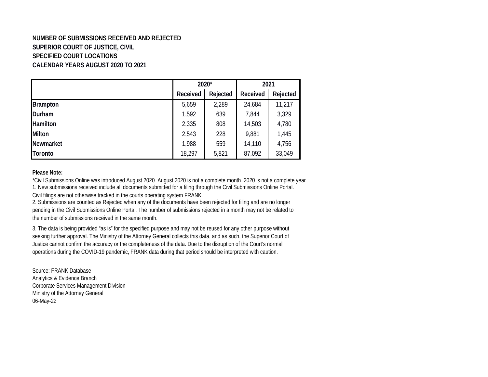# **NUMBER OF SUBMISSIONS RECEIVED AND REJECTED SUPERIOR COURT OF JUSTICE, CIVIL SPECIFIED COURT LOCATIONS CALENDAR YEARS AUGUST 2020 TO 2021**

|                 |                 | 2020*    |          | 2021     |  |
|-----------------|-----------------|----------|----------|----------|--|
|                 | Received        | Rejected | Received | Rejected |  |
| <b>Brampton</b> | 5,659           | 2,289    | 24,684   | 11,217   |  |
| Durham          | 1,592           | 639      | 7,844    | 3,329    |  |
| Hamilton        | 2,335           | 808      | 14,503   | 4,780    |  |
| Milton          | 2,543           | 228      | 9,881    | 1,445    |  |
| Newmarket       | 1,988           | 559      | 14,110   | 4,756    |  |
| <b>Toronto</b>  | 18,297<br>5,821 |          | 87,092   | 33,049   |  |

#### **Please Note:**

\*Civil Submissions Online was introduced August 2020. August 2020 is not a complete month. 2020 is not a complete year. 1. New submissions received include all documents submitted for a filing through the Civil Submissions Online Portal.

Civil filings are not otherwise tracked in the courts operating system FRANK.

2. Submissions are counted as Rejected when any of the documents have been rejected for filing and are no longer pending in the Civil Submissions Online Portal. The number of submissions rejected in a month may not be related to the number of submissions received in the same month.

3. The data is being provided "as is" for the specified purpose and may not be reused for any other purpose without seeking further approval. The Ministry of the Attorney General collects this data, and as such, the Superior Court of Justice cannot confirm the accuracy or the completeness of the data. Due to the disruption of the Court's normal operations during the COVID-19 pandemic, FRANK data during that period should be interpreted with caution.